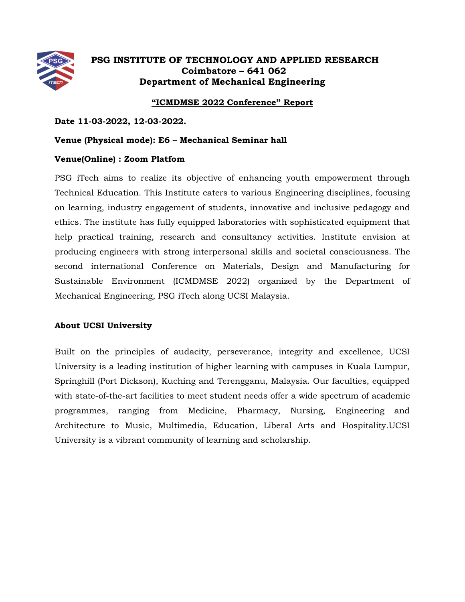

## **PSG INSTITUTE OF TECHNOLOGY AND APPLIED RESEARCH Coimbatore – 641 062 Department of Mechanical Engineering**

## **"ICMDMSE 2022 Conference" Report**

**Date 11-03-2022, 12-03-2022.**

### **Venue (Physical mode): E6 – Mechanical Seminar hall**

## **Venue(Online) : Zoom Platfom**

PSG iTech aims to realize its objective of enhancing youth empowerment through Technical Education. This Institute caters to various Engineering disciplines, focusing on learning, industry engagement of students, innovative and inclusive pedagogy and ethics. The institute has fully equipped laboratories with sophisticated equipment that help practical training, research and consultancy activities. Institute envision at producing engineers with strong interpersonal skills and societal consciousness. The second international Conference on Materials, Design and Manufacturing for Sustainable Environment (ICMDMSE 2022) organized by the Department of Mechanical Engineering, PSG iTech along UCSI Malaysia.

## **About UCSI University**

Built on the principles of audacity, perseverance, integrity and excellence, UCSI University is a leading institution of higher learning with campuses in Kuala Lumpur, Springhill (Port Dickson), Kuching and Terengganu, Malaysia. Our faculties, equipped with state-of-the-art facilities to meet student needs offer a wide spectrum of academic programmes, ranging from Medicine, Pharmacy, Nursing, Engineering and Architecture to Music, Multimedia, Education, Liberal Arts and Hospitality.UCSI University is a vibrant community of learning and scholarship.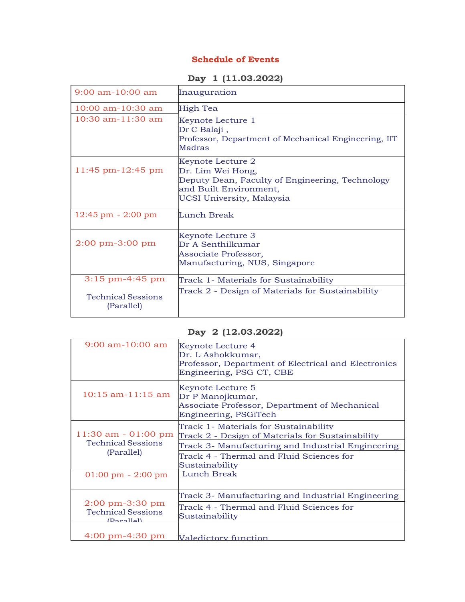## **Schedule of Events**

**Day 1 (11.03.2022)**

| $9:00$ am-10:00 am                      | Inauguration                                                                                                                                     |
|-----------------------------------------|--------------------------------------------------------------------------------------------------------------------------------------------------|
| $10:00$ am- $10:30$ am                  | High Tea                                                                                                                                         |
| $10:30$ am- $11:30$ am                  | Keynote Lecture 1<br>Dr C Balaji,<br>Professor, Department of Mechanical Engineering, IIT<br>Madras                                              |
| 11:45 pm-12:45 pm                       | Keynote Lecture 2<br>Dr. Lim Wei Hong,<br>Deputy Dean, Faculty of Engineering, Technology<br>and Built Environment,<br>UCSI University, Malaysia |
| $12:45$ pm $-2:00$ pm                   | Lunch Break                                                                                                                                      |
| $2:00 \text{ pm}-3:00 \text{ pm}$       | Keynote Lecture 3<br>Dr A Senthilkumar<br>Associate Professor,<br>Manufacturing, NUS, Singapore                                                  |
| $3:15$ pm-4:45 pm                       | Track 1- Materials for Sustainability                                                                                                            |
| <b>Technical Sessions</b><br>(Parallel) | Track 2 - Design of Materials for Sustainability                                                                                                 |

## **Day 2 (12.03.2022)**

| $9:00$ am-10:00 am                                                                            | Keynote Lecture 4<br>Dr. L Ashokkumar,<br>Professor, Department of Electrical and Electronics<br>Engineering, PSG CT, CBE |
|-----------------------------------------------------------------------------------------------|---------------------------------------------------------------------------------------------------------------------------|
| 10:15 am-11:15 am                                                                             | Keynote Lecture 5<br>Dr P Manojkumar,<br>Associate Professor, Department of Mechanical<br>Engineering, PSGiTech           |
| 11:30 am - 01:00 pm<br><b>Technical Sessions</b><br>(Parallel)                                | Track 1- Materials for Sustainability                                                                                     |
|                                                                                               | Track 2 - Design of Materials for Sustainability                                                                          |
|                                                                                               | Track 3- Manufacturing and Industrial Engineering                                                                         |
|                                                                                               | Track 4 - Thermal and Fluid Sciences for<br>Sustainability                                                                |
| $01:00 \text{ pm} - 2:00 \text{ pm}$                                                          | Lunch Break                                                                                                               |
| $2:00 \text{ pm}-3:30 \text{ pm}$<br><b>Technical Sessions</b><br>$(D^{\text{a}}(1\text{a}))$ | Track 3- Manufacturing and Industrial Engineering                                                                         |
|                                                                                               | Track 4 - Thermal and Fluid Sciences for<br>Sustainability                                                                |
| $4:00 \text{ pm}-4:30 \text{ pm}$                                                             | Valedictory function                                                                                                      |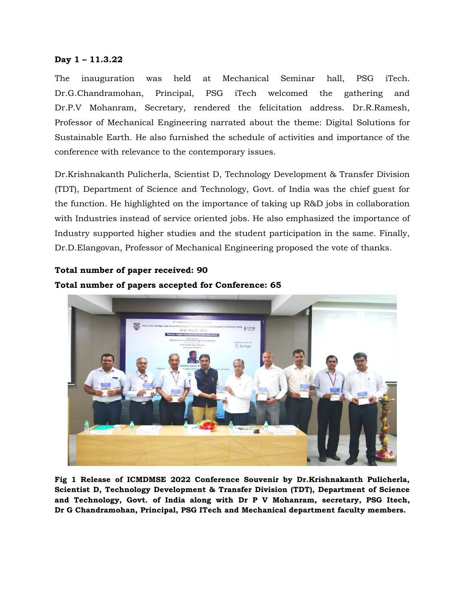### **Day 1 – 11.3.22**

The inauguration was held at Mechanical Seminar hall, PSG iTech. Dr.G.Chandramohan, Principal, PSG iTech welcomed the gathering and Dr.P.V Mohanram, Secretary, rendered the felicitation address. Dr.R.Ramesh, Professor of Mechanical Engineering narrated about the theme: Digital Solutions for Sustainable Earth. He also furnished the schedule of activities and importance of the conference with relevance to the contemporary issues.

Dr.Krishnakanth Pulicherla, Scientist D, Technology Development & Transfer Division (TDT), Department of Science and Technology, Govt. of India was the chief guest for the function. He highlighted on the importance of taking up R&D jobs in collaboration with Industries instead of service oriented jobs. He also emphasized the importance of Industry supported higher studies and the student participation in the same. Finally, Dr.D.Elangovan, Professor of Mechanical Engineering proposed the vote of thanks.

# **Total number of paper received: 90 Total number of papers accepted for Conference: 65**



**Fig 1 Release of ICMDMSE 2022 Conference Souvenir by Dr.Krishnakanth Pulicherla, Scientist D, Technology Development & Transfer Division (TDT), Department of Science and Technology, Govt. of India along with Dr P V Mohanram, secretary, PSG Itech, Dr G Chandramohan, Principal, PSG ITech and Mechanical department faculty members.**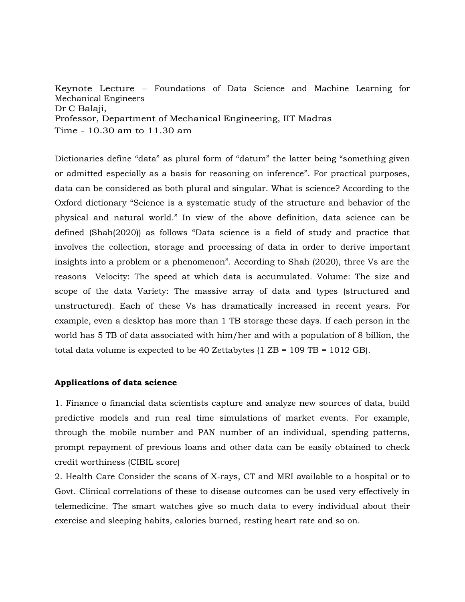Keynote Lecture – Foundations of Data Science and Machine Learning for Mechanical Engineers Dr C Balaji, Professor, Department of Mechanical Engineering, IIT Madras Time - 10.30 am to 11.30 am

Dictionaries define "data" as plural form of "datum" the latter being "something given or admitted especially as a basis for reasoning on inference". For practical purposes, data can be considered as both plural and singular. What is science? According to the Oxford dictionary "Science is a systematic study of the structure and behavior of the physical and natural world." In view of the above definition, data science can be defined (Shah(2020)) as follows "Data science is a field of study and practice that involves the collection, storage and processing of data in order to derive important insights into a problem or a phenomenon". According to Shah (2020), three Vs are the reasons Velocity: The speed at which data is accumulated. Volume: The size and scope of the data Variety: The massive array of data and types (structured and unstructured). Each of these Vs has dramatically increased in recent years. For example, even a desktop has more than 1 TB storage these days. If each person in the world has 5 TB of data associated with him/her and with a population of 8 billion, the total data volume is expected to be 40 Zettabytes (1  $\text{ZB} = 109 \text{ TB} = 1012 \text{ GB}$ ).

#### **Applications of data science**

1. Finance o financial data scientists capture and analyze new sources of data, build predictive models and run real time simulations of market events. For example, through the mobile number and PAN number of an individual, spending patterns, prompt repayment of previous loans and other data can be easily obtained to check credit worthiness (CIBIL score)

2. Health Care Consider the scans of X-rays, CT and MRI available to a hospital or to Govt. Clinical correlations of these to disease outcomes can be used very effectively in telemedicine. The smart watches give so much data to every individual about their exercise and sleeping habits, calories burned, resting heart rate and so on.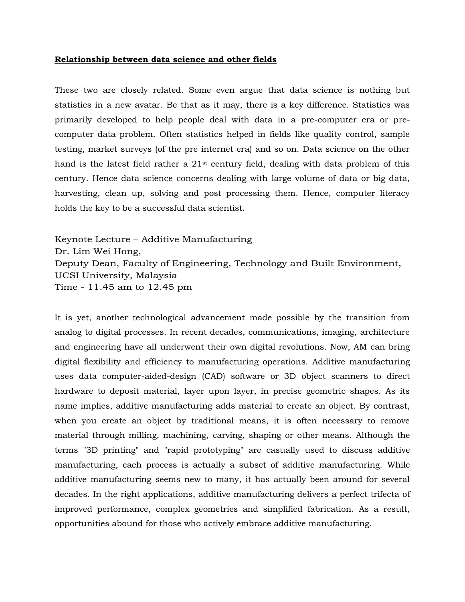#### **Relationship between data science and other fields**

These two are closely related. Some even argue that data science is nothing but statistics in a new avatar. Be that as it may, there is a key difference. Statistics was primarily developed to help people deal with data in a pre-computer era or precomputer data problem. Often statistics helped in fields like quality control, sample testing, market surveys (of the pre internet era) and so on. Data science on the other hand is the latest field rather a 21st century field, dealing with data problem of this century. Hence data science concerns dealing with large volume of data or big data, harvesting, clean up, solving and post processing them. Hence, computer literacy holds the key to be a successful data scientist.

Keynote Lecture – Additive Manufacturing Dr. Lim Wei Hong, Deputy Dean, Faculty of Engineering, Technology and Built Environment, UCSI University, Malaysia Time - 11.45 am to 12.45 pm

It is yet, another technological advancement made possible by the transition from analog to digital processes. In recent decades, communications, imaging, architecture and engineering have all underwent their own digital revolutions. Now, AM can bring digital flexibility and efficiency to manufacturing operations. Additive manufacturing uses data computer-aided-design (CAD) software or 3D object scanners to direct hardware to deposit material, layer upon layer, in precise geometric shapes. As its name implies, additive manufacturing adds material to create an object. By contrast, when you create an object by traditional means, it is often necessary to remove material through milling, machining, carving, shaping or other means. Although the terms "3D printing" and "rapid prototyping" are casually used to discuss additive manufacturing, each process is actually a subset of additive manufacturing. While additive manufacturing seems new to many, it has actually been around for several decades. In the right applications, additive manufacturing delivers a perfect trifecta of improved performance, complex geometries and simplified fabrication. As a result, opportunities abound for those who actively embrace additive manufacturing.